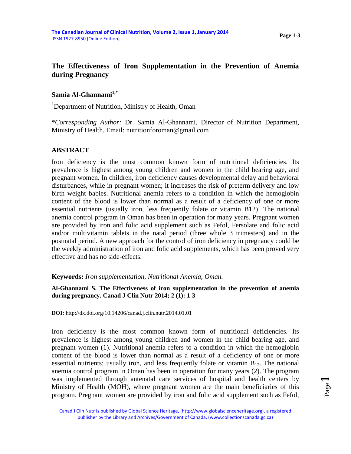# **The Effectiveness of Iron Supplementation in the Prevention of Anemia during Pregnancy**

## **Samia Al-Ghannami1,\***

<sup>1</sup>Department of Nutrition, Ministry of Health, Oman

\**Corresponding Author:* Dr. Samia Al-Ghannami, Director of Nutrition Department, Ministry of Health. Email: nutritionforoman@gmail.com

## **ABSTRACT**

Iron deficiency is the most common known form of nutritional deficiencies. Its prevalence is highest among young children and women in the child bearing age, and pregnant women. In children, iron deficiency causes developmental delay and behavioral disturbances, while in pregnant women; it increases the risk of preterm delivery and low birth weight babies. Nutritional anemia refers to a condition in which the hemoglobin content of the blood is lower than normal as a result of a deficiency of one or more essential nutrients (usually iron, less frequently folate or vitamin B12). The national anemia control program in Oman has been in operation for many years. Pregnant women are provided by iron and folic acid supplement such as Fefol, Fersolate and folic acid and/or multivitamin tablets in the natal period (three whole 3 trimesters) and in the postnatal period. A new approach for the control of iron deficiency in pregnancy could be the weekly administration of iron and folic acid supplements, which has been proved very effective and has no side-effects.

### **Keywords:** *Iron supplementation, Nutritional Anemia, Oman.*

**Al-Ghannami S. The Effectiveness of iron supplementation in the prevention of anemia during pregnancy. Canad J Clin Nutr 2014; 2 (1): 1-3**

**DOI:** <http://dx.doi.org/10.14206/canad.j.clin.nutr.2014.01.01>

Iron deficiency is the most common known form of nutritional deficiencies. Its prevalence is highest among young children and women in the child bearing age, and pregnant women (1). Nutritional anemia refers to a condition in which the hemoglobin content of the blood is lower than normal as a result of a deficiency of one or more essential nutrients; usually iron, and less frequently folate or vitamin  $B_{12}$ . The national anemia control program in Oman has been in operation for many years (2). The program was implemented through antenatal care services of hospital and health centers by Ministry of Health (MOH), where pregnant women are the main beneficiaries of this program. Pregnant women are provided by iron and folic acid supplement such as Fefol,

Canad J Clin Nutr is published by Global Science Heritage, (http://www.globalscienceheritage.org), a registered publisher by the Library and Archives/Government of Canada, (www.collectionscanada.gc.ca)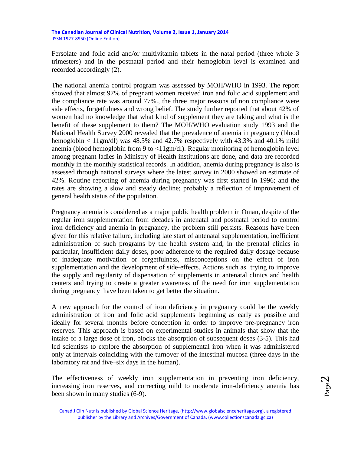**The Canadian Journal of Clinical Nutrition, Volume 2, Issue 1, January 2014** ISSN 1927-8950 (Online Edition)

Fersolate and folic acid and/or multivitamin tablets in the natal period (three whole 3 trimesters) and in the postnatal period and their hemoglobin level is examined and recorded accordingly (2).

The national anemia control program was assessed by MOH/WHO in 1993. The report showed that almost 97% of pregnant women received iron and folic acid supplement and the compliance rate was around 77%., the three major reasons of non compliance were side effects, forgetfulness and wrong belief. The study further reported that about 42% of women had no knowledge that what kind of supplement they are taking and what is the benefit of these supplement to them? The MOH/WHO evaluation study 1993 and the National Health Survey 2000 revealed that the prevalence of anemia in pregnancy (blood hemoglobin  $\lt 11$ gm/dl) was 48.5% and 42.7% respectively with 43.3% and 40.1% mild anemia (blood hemoglobin from 9 to <11gm/dl). Regular monitoring of hemoglobin level among pregnant ladies in Ministry of Health institutions are done, and data are recorded monthly in the monthly statistical records. In addition, anemia during pregnancy is also is assessed through national surveys where the latest survey in 2000 showed an estimate of 42%. Routine reporting of anemia during pregnancy was first started in 1996; and the rates are showing a slow and steady decline; probably a reflection of improvement of general health status of the population.

Pregnancy anemia is considered as a major public health problem in Oman, despite of the regular iron supplementation from decades in antenatal and postnatal period to control iron deficiency and anemia in pregnancy, the problem still persists. Reasons have been given for this relative failure, including late start of antenatal supplementation, inefficient administration of such programs by the health system and, in the prenatal clinics in particular, insufficient daily doses, poor adherence to the required daily dosage because of inadequate motivation or forgetfulness, misconceptions on the effect of iron supplementation and the development of side-effects. Actions such as trying to improve the supply and regularity of dispensation of supplements in antenatal clinics and health centers and trying to create a greater awareness of the need for iron supplementation during pregnancy have been taken to get better the situation.

A new approach for the control of iron deficiency in pregnancy could be the weekly administration of iron and folic acid supplements beginning as early as possible and ideally for several months before conception in order to improve pre-pregnancy iron reserves. This approach is based on experimental studies in animals that show that the intake of a large dose of iron, blocks the absorption of subsequent doses (3-5). This had led scientists to explore the absorption of supplemental iron when it was administered only at intervals coinciding with the turnover of the intestinal mucosa (three days in the laboratory rat and five–six days in the human).

The effectiveness of weekly iron supplementation in preventing iron deficiency, increasing iron reserves, and correcting mild to moderate iron-deficiency anemia has been shown in many studies (6-9).

Page  $\boldsymbol{\sim}$ 

Canad J Clin Nutr is published by Global Science Heritage, (http://www.globalscienceheritage.org), a registered publisher by the Library and Archives/Government of Canada, (www.collectionscanada.gc.ca)